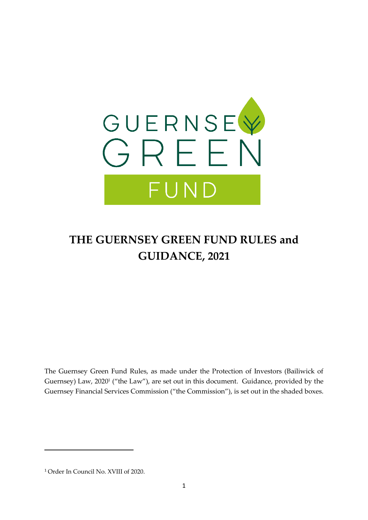

# **THE GUERNSEY GREEN FUND RULES and GUIDANCE, 2021**

The Guernsey Green Fund Rules, as made under the Protection of Investors (Bailiwick of Guernsey) Law, 2020<sup>1</sup> ("the Law"), are set out in this document. Guidance, provided by the Guernsey Financial Services Commission ("the Commission"), is set out in the shaded boxes.

<sup>1</sup> Order In Council No. XVIII of 2020.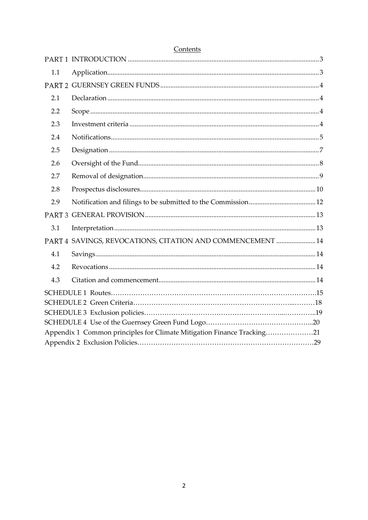| 1.1 |                                                                        |  |
|-----|------------------------------------------------------------------------|--|
|     |                                                                        |  |
| 2.1 |                                                                        |  |
| 2.2 |                                                                        |  |
| 2.3 |                                                                        |  |
| 2.4 |                                                                        |  |
| 2.5 |                                                                        |  |
| 2.6 |                                                                        |  |
| 2.7 |                                                                        |  |
| 2.8 |                                                                        |  |
| 2.9 |                                                                        |  |
|     |                                                                        |  |
| 3.1 |                                                                        |  |
|     | PART 4 SAVINGS, REVOCATIONS, CITATION AND COMMENCEMENT  14             |  |
| 4.1 |                                                                        |  |
| 4.2 |                                                                        |  |
| 4.3 |                                                                        |  |
|     |                                                                        |  |
|     |                                                                        |  |
|     |                                                                        |  |
|     | Appendix 1 Common principles for Climate Mitigation Finance Tracking21 |  |
|     |                                                                        |  |

### Contents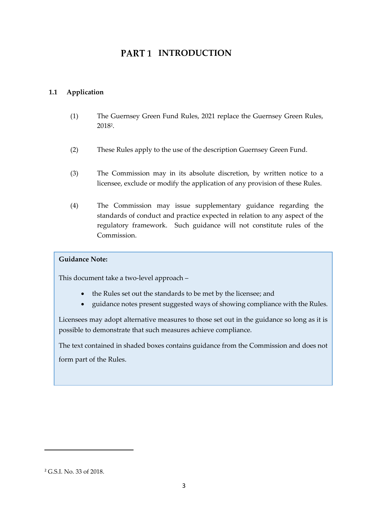## **PART 1 INTRODUCTION**

### <span id="page-2-1"></span><span id="page-2-0"></span>**1.1 Application**

- (1) The Guernsey Green Fund Rules, 2021 replace the Guernsey Green Rules, 2018<sup>2</sup> .
- (2) These Rules apply to the use of the description Guernsey Green Fund.
- (3) The Commission may in its absolute discretion, by written notice to a licensee, exclude or modify the application of any provision of these Rules.
- (4) The Commission may issue supplementary guidance regarding the standards of conduct and practice expected in relation to any aspect of the regulatory framework. Such guidance will not constitute rules of the Commission.

### **Guidance Note:**

This document take a two-level approach –

- the Rules set out the standards to be met by the licensee; and
- guidance notes present suggested ways of showing compliance with the Rules.

Licensees may adopt alternative measures to those set out in the guidance so long as it is possible to demonstrate that such measures achieve compliance.

The text contained in shaded boxes contains guidance from the Commission and does not form part of the Rules.

<sup>2</sup> G.S.I. No. 33 of 2018.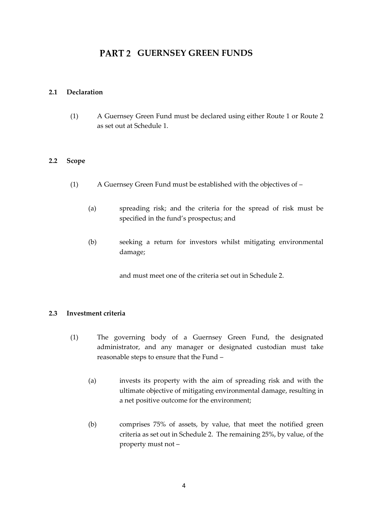### **PART 2 GUERNSEY GREEN FUNDS**

### <span id="page-3-1"></span><span id="page-3-0"></span>**2.1 Declaration**

(1) A Guernsey Green Fund must be declared using either Route 1 or Route 2 as set out at Schedule 1.

### <span id="page-3-2"></span>**2.2 Scope**

- (1) A Guernsey Green Fund must be established with the objectives of
	- (a) spreading risk; and the criteria for the spread of risk must be specified in the fund's prospectus; and
	- (b) seeking a return for investors whilst mitigating environmental damage;

and must meet one of the criteria set out in Schedule 2.

### <span id="page-3-3"></span>**2.3 Investment criteria**

- (1) The governing body of a Guernsey Green Fund, the designated administrator, and any manager or designated custodian must take reasonable steps to ensure that the Fund –
	- (a) invests its property with the aim of spreading risk and with the ultimate objective of mitigating environmental damage, resulting in a net positive outcome for the environment;
	- (b) comprises 75% of assets, by value, that meet the notified green criteria as set out in Schedule 2. The remaining 25%, by value, of the property must not –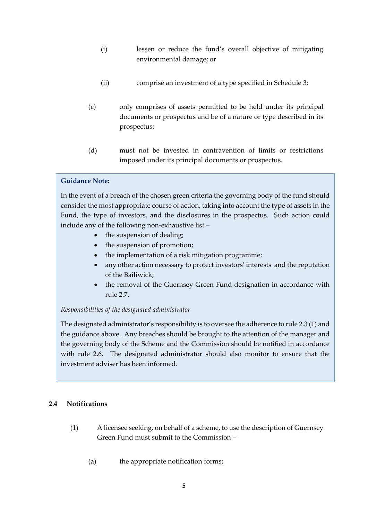- (i) lessen or reduce the fund's overall objective of mitigating environmental damage; or
- (ii) comprise an investment of a type specified in Schedule 3;
- (c) only comprises of assets permitted to be held under its principal documents or prospectus and be of a nature or type described in its prospectus;
- (d) must not be invested in contravention of limits or restrictions imposed under its principal documents or prospectus.

In the event of a breach of the chosen green criteria the governing body of the fund should consider the most appropriate course of action, taking into account the type of assets in the Fund, the type of investors, and the disclosures in the prospectus. Such action could include any of the following non-exhaustive list –

- the suspension of dealing;
- the suspension of promotion;
- the implementation of a risk mitigation programme;
- any other action necessary to protect investors' interests and the reputation of the Bailiwick;
- the removal of the Guernsey Green Fund designation in accordance with rule 2.7.

### *Responsibilities of the designated administrator*

The designated administrator's responsibility is to oversee the adherence to rule 2.3 (1) and the guidance above. Any breaches should be brought to the attention of the manager and the governing body of the Scheme and the Commission should be notified in accordance with rule 2.6. The designated administrator should also monitor to ensure that the investment adviser has been informed.

### <span id="page-4-0"></span>**2.4 Notifications**

- (1) A licensee seeking, on behalf of a scheme, to use the description of Guernsey Green Fund must submit to the Commission –
	- (a) the appropriate notification forms;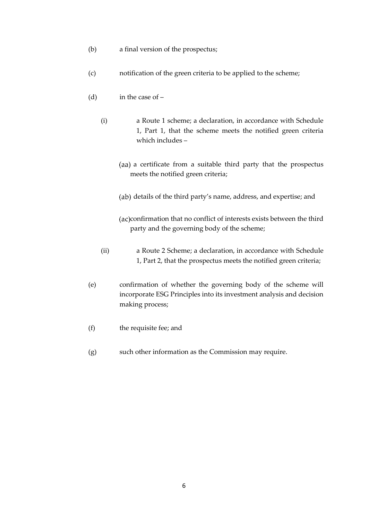- (b) a final version of the prospectus;
- (c) notification of the green criteria to be applied to the scheme;
- (d) in the case of
	- (i) a Route 1 scheme; a declaration, in accordance with Schedule 1, Part 1, that the scheme meets the notified green criteria which includes –
		- (aa) a certificate from a suitable third party that the prospectus meets the notified green criteria;
		- (ab) details of the third party's name, address, and expertise; and
		- (ac)confirmation that no conflict of interests exists between the third party and the governing body of the scheme;
	- (ii) a Route 2 Scheme; a declaration, in accordance with Schedule 1, Part 2, that the prospectus meets the notified green criteria;
- (e) confirmation of whether the governing body of the scheme will incorporate ESG Principles into its investment analysis and decision making process;
- (f) the requisite fee; and
- (g) such other information as the Commission may require.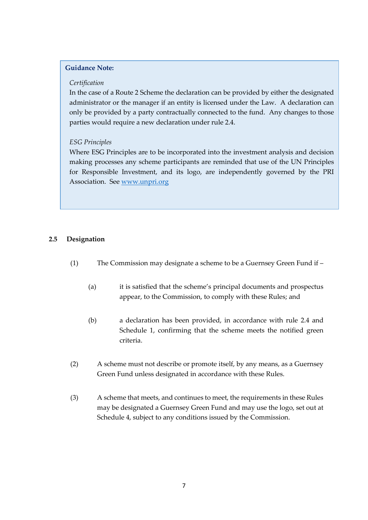#### *Certification*

In the case of a Route 2 Scheme the declaration can be provided by either the designated administrator or the manager if an entity is licensed under the Law. A declaration can only be provided by a party contractually connected to the fund. Any changes to those parties would require a new declaration under rule 2.4.

### *ESG Principles*

Where ESG Principles are to be incorporated into the investment analysis and decision making processes any scheme participants are reminded that use of the UN Principles for Responsible Investment, and its logo, are independently governed by the PRI Association. See [www.unpri.org](http://www.unpri.org/)

### <span id="page-6-0"></span>**2.5 Designation**

- (1) The Commission may designate a scheme to be a Guernsey Green Fund if
	- (a) it is satisfied that the scheme's principal documents and prospectus appear, to the Commission, to comply with these Rules; and
	- (b) a declaration has been provided, in accordance with rule 2.4 and Schedule 1, confirming that the scheme meets the notified green criteria.
- (2) A scheme must not describe or promote itself, by any means, as a Guernsey Green Fund unless designated in accordance with these Rules.
- (3) A scheme that meets, and continues to meet, the requirements in these Rules may be designated a Guernsey Green Fund and may use the logo, set out at Schedule 4, subject to any conditions issued by the Commission.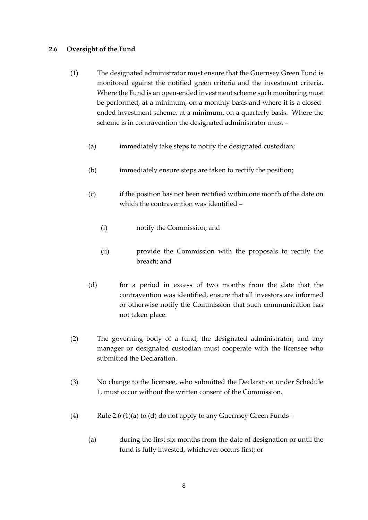### <span id="page-7-0"></span>**2.6 Oversight of the Fund**

- (1) The designated administrator must ensure that the Guernsey Green Fund is monitored against the notified green criteria and the investment criteria. Where the Fund is an open-ended investment scheme such monitoring must be performed, at a minimum, on a monthly basis and where it is a closedended investment scheme, at a minimum, on a quarterly basis. Where the scheme is in contravention the designated administrator must –
	- (a) immediately take steps to notify the designated custodian;
	- (b) immediately ensure steps are taken to rectify the position;
	- (c) if the position has not been rectified within one month of the date on which the contravention was identified –
		- (i) notify the Commission; and
		- (ii) provide the Commission with the proposals to rectify the breach; and
	- (d) for a period in excess of two months from the date that the contravention was identified, ensure that all investors are informed or otherwise notify the Commission that such communication has not taken place.
- (2) The governing body of a fund, the designated administrator, and any manager or designated custodian must cooperate with the licensee who submitted the Declaration.
- (3) No change to the licensee, who submitted the Declaration under Schedule 1, must occur without the written consent of the Commission.
- (4) Rule 2.6 (1)(a) to (d) do not apply to any Guernsey Green Funds
	- (a) during the first six months from the date of designation or until the fund is fully invested, whichever occurs first; or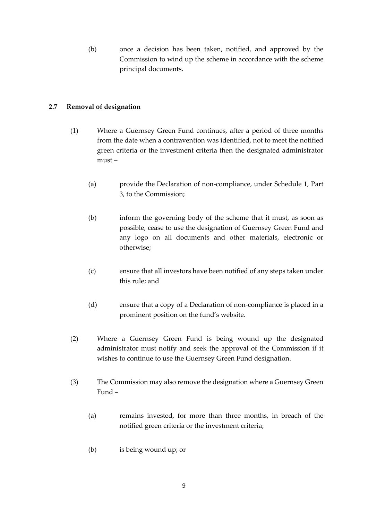(b) once a decision has been taken, notified, and approved by the Commission to wind up the scheme in accordance with the scheme principal documents.

### <span id="page-8-0"></span>**2.7 Removal of designation**

- (1) Where a Guernsey Green Fund continues, after a period of three months from the date when a contravention was identified, not to meet the notified green criteria or the investment criteria then the designated administrator must –
	- (a) provide the Declaration of non-compliance, under Schedule 1, Part 3, to the Commission;
	- (b) inform the governing body of the scheme that it must, as soon as possible, cease to use the designation of Guernsey Green Fund and any logo on all documents and other materials, electronic or otherwise;
	- (c) ensure that all investors have been notified of any steps taken under this rule; and
	- (d) ensure that a copy of a Declaration of non-compliance is placed in a prominent position on the fund's website.
- (2) Where a Guernsey Green Fund is being wound up the designated administrator must notify and seek the approval of the Commission if it wishes to continue to use the Guernsey Green Fund designation.
- (3) The Commission may also remove the designation where a Guernsey Green Fund –
	- (a) remains invested, for more than three months, in breach of the notified green criteria or the investment criteria;
	- (b) is being wound up; or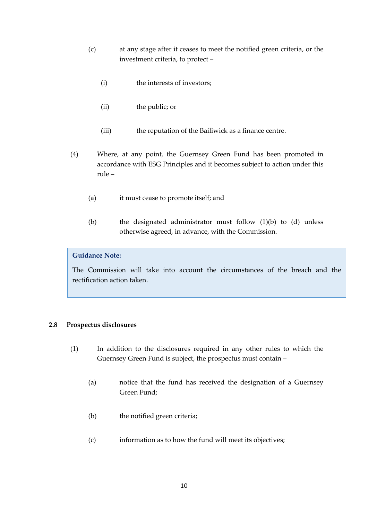- (c) at any stage after it ceases to meet the notified green criteria, or the investment criteria, to protect –
	- (i) the interests of investors;
	- (ii) the public; or
	- (iii) the reputation of the Bailiwick as a finance centre.
- (4) Where, at any point, the Guernsey Green Fund has been promoted in accordance with ESG Principles and it becomes subject to action under this rule –
	- (a) it must cease to promote itself; and
	- (b) the designated administrator must follow (1)(b) to (d) unless otherwise agreed, in advance, with the Commission.

The Commission will take into account the circumstances of the breach and the rectification action taken.

### <span id="page-9-0"></span>**2.8 Prospectus disclosures**

- (1) In addition to the disclosures required in any other rules to which the Guernsey Green Fund is subject, the prospectus must contain –
	- (a) notice that the fund has received the designation of a Guernsey Green Fund;
	- (b) the notified green criteria;
	- (c) information as to how the fund will meet its objectives;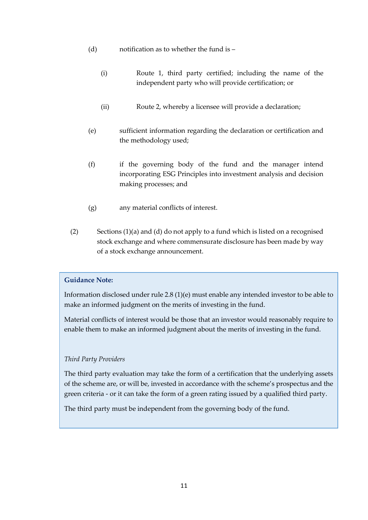- (d) notification as to whether the fund is
	- (i) Route 1, third party certified; including the name of the independent party who will provide certification; or
	- (ii) Route 2, whereby a licensee will provide a declaration;
- (e) sufficient information regarding the declaration or certification and the methodology used;
- (f) if the governing body of the fund and the manager intend incorporating ESG Principles into investment analysis and decision making processes; and
- (g) any material conflicts of interest.
- (2) Sections (1)(a) and (d) do not apply to a fund which is listed on a recognised stock exchange and where commensurate disclosure has been made by way of a stock exchange announcement.

Information disclosed under rule 2.8 (1)(e) must enable any intended investor to be able to make an informed judgment on the merits of investing in the fund.

Material conflicts of interest would be those that an investor would reasonably require to enable them to make an informed judgment about the merits of investing in the fund.

### *Third Party Providers*

The third party evaluation may take the form of a certification that the underlying assets of the scheme are, or will be, invested in accordance with the scheme's prospectus and the green criteria - or it can take the form of a green rating issued by a qualified third party.

The third party must be independent from the governing body of the fund.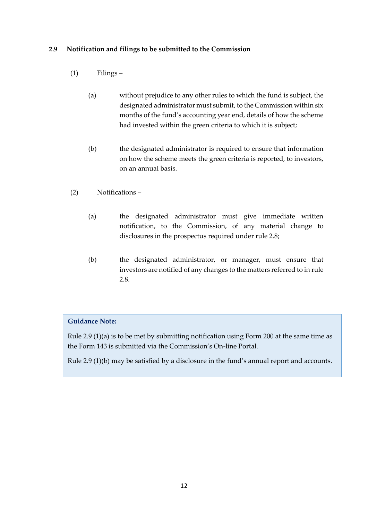### <span id="page-11-0"></span>**2.9 Notification and filings to be submitted to the Commission**

- (1) Filings
	- (a) without prejudice to any other rules to which the fund is subject, the designated administrator must submit, to the Commission within six months of the fund's accounting year end, details of how the scheme had invested within the green criteria to which it is subject;
	- (b) the designated administrator is required to ensure that information on how the scheme meets the green criteria is reported, to investors, on an annual basis.
- (2) Notifications
	- (a) the designated administrator must give immediate written notification, to the Commission, of any material change to disclosures in the prospectus required under rule 2.8;
	- (b) the designated administrator, or manager, must ensure that investors are notified of any changes to the matters referred to in rule 2.8.

### **Guidance Note:**

Rule 2.9 (1)(a) is to be met by submitting notification using Form 200 at the same time as the Form 143 is submitted via the Commission's On-line Portal.

Rule 2.9 (1)(b) may be satisfied by a disclosure in the fund's annual report and accounts.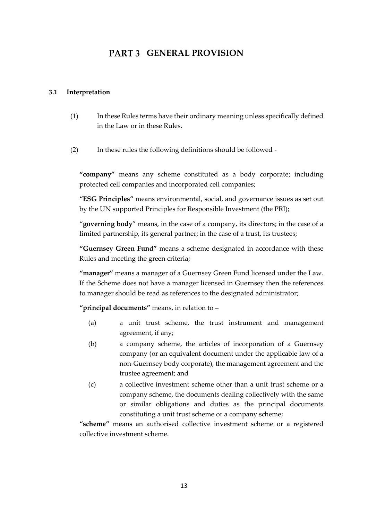### **PART 3 GENERAL PROVISION**

### <span id="page-12-1"></span><span id="page-12-0"></span>**3.1 Interpretation**

- (1) In these Rules terms have their ordinary meaning unless specifically defined in the Law or in these Rules.
- (2) In these rules the following definitions should be followed -

**"company"** means any scheme constituted as a body corporate; including protected cell companies and incorporated cell companies;

**"ESG Principles"** means environmental, social, and governance issues as set out by the UN supported Principles for Responsible Investment (the PRI);

"**governing body**" means, in the case of a company, its directors; in the case of a limited partnership, its general partner; in the case of a trust, its trustees;

**"Guernsey Green Fund"** means a scheme designated in accordance with these Rules and meeting the green criteria;

**"manager"** means a manager of a Guernsey Green Fund licensed under the Law. If the Scheme does not have a manager licensed in Guernsey then the references to manager should be read as references to the designated administrator;

**"principal documents"** means, in relation to –

- (a) a unit trust scheme, the trust instrument and management agreement, if any;
- (b) a company scheme, the articles of incorporation of a Guernsey company (or an equivalent document under the applicable law of a non-Guernsey body corporate), the management agreement and the trustee agreement; and
- (c) a collective investment scheme other than a unit trust scheme or a company scheme, the documents dealing collectively with the same or similar obligations and duties as the principal documents constituting a unit trust scheme or a company scheme;

**"scheme"** means an authorised collective investment scheme or a registered collective investment scheme.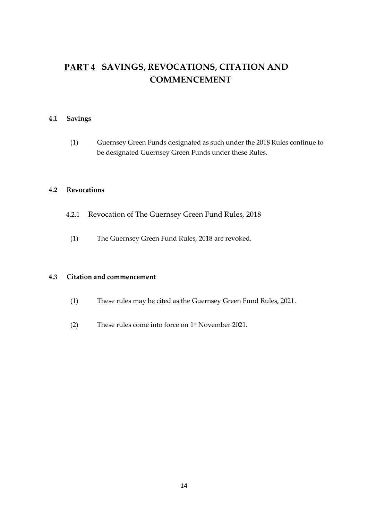## <span id="page-13-0"></span>PART 4 SAVINGS, REVOCATIONS, CITATION AND **COMMENCEMENT**

### <span id="page-13-1"></span>**4.1 Savings**

(1) Guernsey Green Funds designated as such under the 2018 Rules continue to be designated Guernsey Green Funds under these Rules.

### <span id="page-13-2"></span>**4.2 Revocations**

- 4.2.1 Revocation of The Guernsey Green Fund Rules, 2018
	- (1) The Guernsey Green Fund Rules, 2018 are revoked.

### <span id="page-13-3"></span>**4.3 Citation and commencement**

- (1) These rules may be cited as the Guernsey Green Fund Rules, 2021.
- (2) These rules come into force on 1 st November 2021.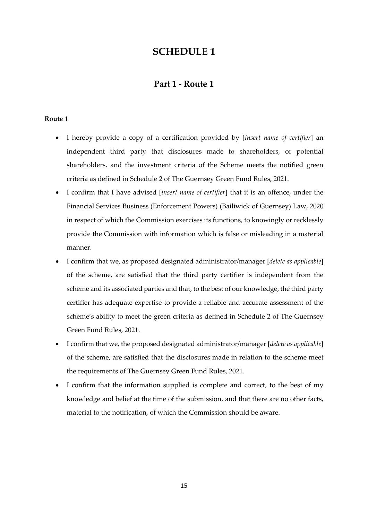### **Part 1 - Route 1**

### **Route 1**

- I hereby provide a copy of a certification provided by [*insert name of certifier*] an independent third party that disclosures made to shareholders, or potential shareholders, and the investment criteria of the Scheme meets the notified green criteria as defined in Schedule 2 of The Guernsey Green Fund Rules, 2021.
- I confirm that I have advised [*insert name of certifier*] that it is an offence, under the Financial Services Business (Enforcement Powers) (Bailiwick of Guernsey) Law, 2020 in respect of which the Commission exercises its functions, to knowingly or recklessly provide the Commission with information which is false or misleading in a material manner.
- I confirm that we, as proposed designated administrator/manager [*delete as applicable*] of the scheme, are satisfied that the third party certifier is independent from the scheme and its associated parties and that, to the best of our knowledge, the third party certifier has adequate expertise to provide a reliable and accurate assessment of the scheme's ability to meet the green criteria as defined in Schedule 2 of The Guernsey Green Fund Rules, 2021.
- I confirm that we, the proposed designated administrator/manager [*delete as applicable*] of the scheme, are satisfied that the disclosures made in relation to the scheme meet the requirements of The Guernsey Green Fund Rules, 2021.
- I confirm that the information supplied is complete and correct, to the best of my knowledge and belief at the time of the submission, and that there are no other facts, material to the notification, of which the Commission should be aware.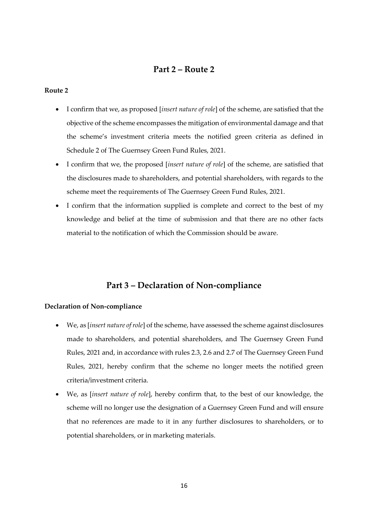### **Part 2 – Route 2**

#### **Route 2**

- I confirm that we, as proposed [*insert nature of role*] of the scheme, are satisfied that the objective of the scheme encompasses the mitigation of environmental damage and that the scheme's investment criteria meets the notified green criteria as defined in Schedule 2 of The Guernsey Green Fund Rules, 2021.
- I confirm that we, the proposed [*insert nature of role*] of the scheme, are satisfied that the disclosures made to shareholders, and potential shareholders, with regards to the scheme meet the requirements of The Guernsey Green Fund Rules, 2021.
- I confirm that the information supplied is complete and correct to the best of my knowledge and belief at the time of submission and that there are no other facts material to the notification of which the Commission should be aware.

### **Part 3 – Declaration of Non-compliance**

### **Declaration of Non-compliance**

- We, as [*insert nature of role*] of the scheme, have assessed the scheme against disclosures made to shareholders, and potential shareholders, and The Guernsey Green Fund Rules, 2021 and, in accordance with rules 2.3, 2.6 and 2.7 of The Guernsey Green Fund Rules, 2021, hereby confirm that the scheme no longer meets the notified green criteria/investment criteria.
- We, as [*insert nature of role*], hereby confirm that, to the best of our knowledge, the scheme will no longer use the designation of a Guernsey Green Fund and will ensure that no references are made to it in any further disclosures to shareholders, or to potential shareholders, or in marketing materials.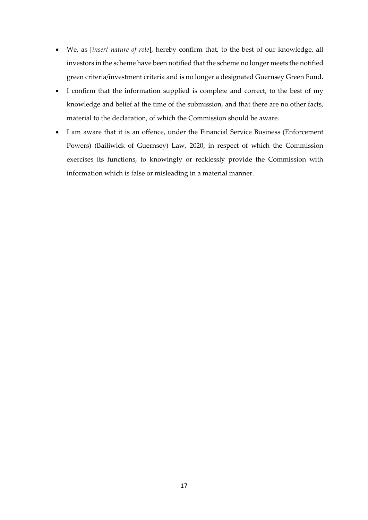- We, as [*insert nature of role*], hereby confirm that, to the best of our knowledge, all investors in the scheme have been notified that the scheme no longer meets the notified green criteria/investment criteria and is no longer a designated Guernsey Green Fund.
- I confirm that the information supplied is complete and correct, to the best of my knowledge and belief at the time of the submission, and that there are no other facts, material to the declaration, of which the Commission should be aware.
- I am aware that it is an offence, under the Financial Service Business (Enforcement Powers) (Bailiwick of Guernsey) Law, 2020, in respect of which the Commission exercises its functions, to knowingly or recklessly provide the Commission with information which is false or misleading in a material manner.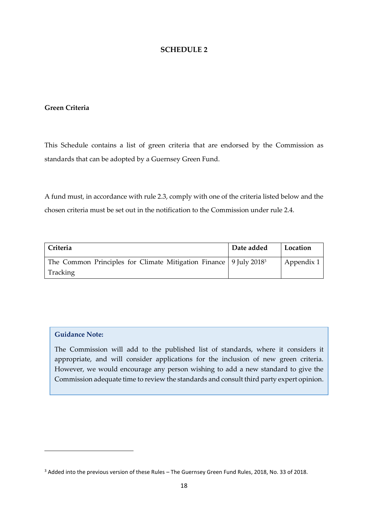### **Green Criteria**

This Schedule contains a list of green criteria that are endorsed by the Commission as standards that can be adopted by a Guernsey Green Fund.

A fund must, in accordance with rule 2.3, comply with one of the criteria listed below and the chosen criteria must be set out in the notification to the Commission under rule 2.4.

| Criteria                                                                        | Date added | Location   |
|---------------------------------------------------------------------------------|------------|------------|
| The Common Principles for Climate Mitigation Finance   9 July 2018 <sup>3</sup> |            | Appendix 1 |
| Tracking                                                                        |            |            |

### **Guidance Note:**

The Commission will add to the published list of standards, where it considers it appropriate, and will consider applications for the inclusion of new green criteria. However, we would encourage any person wishing to add a new standard to give the Commission adequate time to review the standards and consult third party expert opinion.

<sup>3</sup> Added into the previous version of these Rules – The Guernsey Green Fund Rules, 2018, No. 33 of 2018.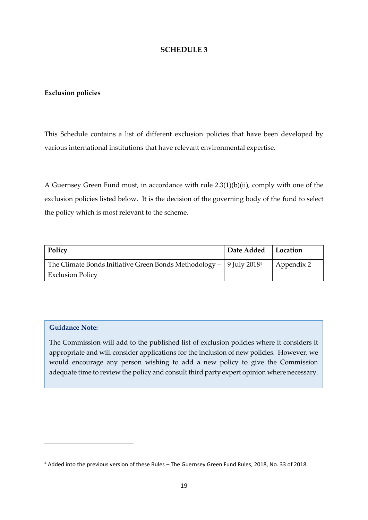### **Exclusion policies**

This Schedule contains a list of different exclusion policies that have been developed by various international institutions that have relevant environmental expertise.

A Guernsey Green Fund must, in accordance with rule 2.3(1)(b)(ii), comply with one of the exclusion policies listed below. It is the decision of the governing body of the fund to select the policy which is most relevant to the scheme.

| Policy                                                                              | Date Added   Location |            |
|-------------------------------------------------------------------------------------|-----------------------|------------|
| The Climate Bonds Initiative Green Bonds Methodology $-$   9 July 2018 <sup>4</sup> |                       | Appendix 2 |
| <b>Exclusion Policy</b>                                                             |                       |            |

### **Guidance Note:**

The Commission will add to the published list of exclusion policies where it considers it appropriate and will consider applications for the inclusion of new policies. However, we would encourage any person wishing to add a new policy to give the Commission adequate time to review the policy and consult third party expert opinion where necessary.

<sup>4</sup> Added into the previous version of these Rules – The Guernsey Green Fund Rules, 2018, No. 33 of 2018.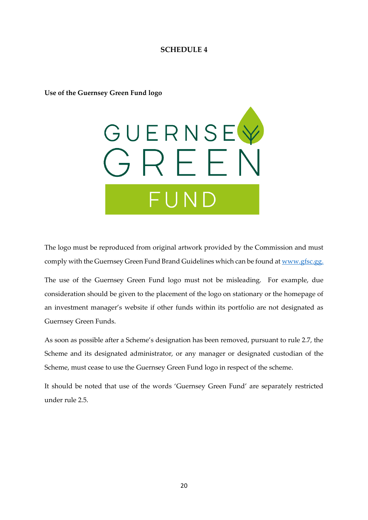**Use of the Guernsey Green Fund logo**



The logo must be reproduced from original artwork provided by the Commission and must comply with the Guernsey Green Fund Brand Guidelines which can be found at [www.gfsc.gg.](http://www.gfsc.gg/)

The use of the Guernsey Green Fund logo must not be misleading. For example, due consideration should be given to the placement of the logo on stationary or the homepage of an investment manager's website if other funds within its portfolio are not designated as Guernsey Green Funds.

As soon as possible after a Scheme's designation has been removed, pursuant to rule 2.7, the Scheme and its designated administrator, or any manager or designated custodian of the Scheme, must cease to use the Guernsey Green Fund logo in respect of the scheme.

It should be noted that use of the words 'Guernsey Green Fund' are separately restricted under rule 2.5.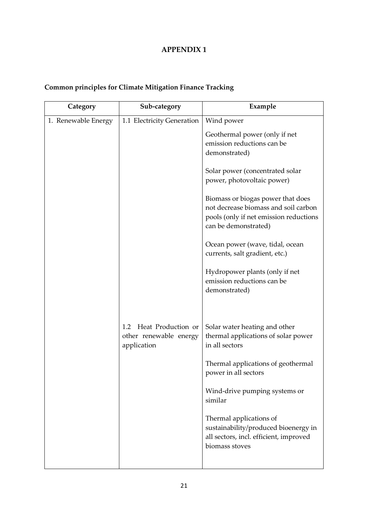### **APPENDIX 1**

## **Common principles for Climate Mitigation Finance Tracking**

| Category            | Sub-category               | Example                                                        |
|---------------------|----------------------------|----------------------------------------------------------------|
| 1. Renewable Energy | 1.1 Electricity Generation | Wind power                                                     |
|                     |                            | Geothermal power (only if net                                  |
|                     |                            | emission reductions can be                                     |
|                     |                            | demonstrated)                                                  |
|                     |                            | Solar power (concentrated solar                                |
|                     |                            | power, photovoltaic power)                                     |
|                     |                            | Biomass or biogas power that does                              |
|                     |                            | not decrease biomass and soil carbon                           |
|                     |                            | pools (only if net emission reductions<br>can be demonstrated) |
|                     |                            | Ocean power (wave, tidal, ocean                                |
|                     |                            | currents, salt gradient, etc.)                                 |
|                     |                            | Hydropower plants (only if net                                 |
|                     |                            | emission reductions can be                                     |
|                     |                            | demonstrated)                                                  |
|                     |                            |                                                                |
|                     | Heat Production or<br>1.2  | Solar water heating and other                                  |
|                     | other renewable energy     | thermal applications of solar power<br>in all sectors          |
|                     | application                |                                                                |
|                     |                            | Thermal applications of geothermal                             |
|                     |                            | power in all sectors                                           |
|                     |                            | Wind-drive pumping systems or                                  |
|                     |                            | similar                                                        |
|                     |                            | Thermal applications of                                        |
|                     |                            | sustainability/produced bioenergy in                           |
|                     |                            | all sectors, incl. efficient, improved<br>biomass stoves       |
|                     |                            |                                                                |
|                     |                            |                                                                |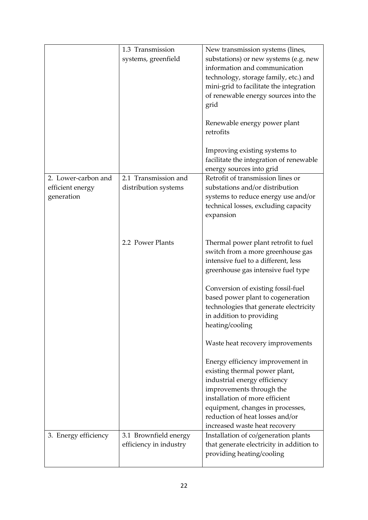|                                                       | 1.3 Transmission<br>systems, greenfield         | New transmission systems (lines,<br>substations) or new systems (e.g. new<br>information and communication<br>technology, storage family, etc.) and<br>mini-grid to facilitate the integration<br>of renewable energy sources into the<br>grid<br>Renewable energy power plant<br>retrofits<br>Improving existing systems to<br>facilitate the integration of renewable                                                                                                                                                                                                                                                                   |
|-------------------------------------------------------|-------------------------------------------------|-------------------------------------------------------------------------------------------------------------------------------------------------------------------------------------------------------------------------------------------------------------------------------------------------------------------------------------------------------------------------------------------------------------------------------------------------------------------------------------------------------------------------------------------------------------------------------------------------------------------------------------------|
| 2. Lower-carbon and<br>efficient energy<br>generation | 2.1 Transmission and<br>distribution systems    | energy sources into grid<br>Retrofit of transmission lines or<br>substations and/or distribution<br>systems to reduce energy use and/or<br>technical losses, excluding capacity<br>expansion                                                                                                                                                                                                                                                                                                                                                                                                                                              |
|                                                       | 2.2 Power Plants                                | Thermal power plant retrofit to fuel<br>switch from a more greenhouse gas<br>intensive fuel to a different, less<br>greenhouse gas intensive fuel type<br>Conversion of existing fossil-fuel<br>based power plant to cogeneration<br>technologies that generate electricity<br>in addition to providing<br>heating/cooling<br>Waste heat recovery improvements<br>Energy efficiency improvement in<br>existing thermal power plant,<br>industrial energy efficiency<br>improvements through the<br>installation of more efficient<br>equipment, changes in processes,<br>reduction of heat losses and/or<br>increased waste heat recovery |
| 3. Energy efficiency                                  | 3.1 Brownfield energy<br>efficiency in industry | Installation of co/generation plants<br>that generate electricity in addition to<br>providing heating/cooling                                                                                                                                                                                                                                                                                                                                                                                                                                                                                                                             |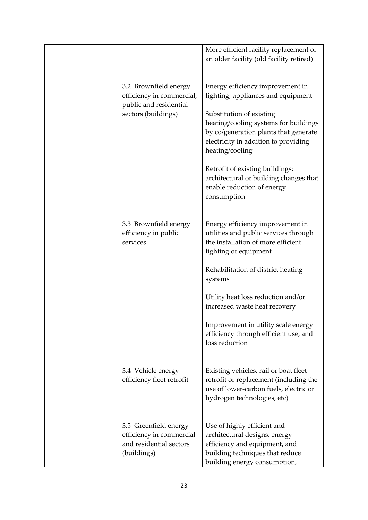|                                                                                                     | More efficient facility replacement of<br>an older facility (old facility retired)                                                                                                   |
|-----------------------------------------------------------------------------------------------------|--------------------------------------------------------------------------------------------------------------------------------------------------------------------------------------|
| 3.2 Brownfield energy<br>efficiency in commercial,<br>public and residential<br>sectors (buildings) | Energy efficiency improvement in<br>lighting, appliances and equipment<br>Substitution of existing<br>heating/cooling systems for buildings<br>by co/generation plants that generate |
|                                                                                                     | electricity in addition to providing<br>heating/cooling                                                                                                                              |
|                                                                                                     | Retrofit of existing buildings:<br>architectural or building changes that<br>enable reduction of energy<br>consumption                                                               |
| 3.3 Brownfield energy<br>efficiency in public<br>services                                           | Energy efficiency improvement in<br>utilities and public services through<br>the installation of more efficient<br>lighting or equipment                                             |
|                                                                                                     | Rehabilitation of district heating<br>systems                                                                                                                                        |
|                                                                                                     | Utility heat loss reduction and/or<br>increased waste heat recovery                                                                                                                  |
|                                                                                                     | Improvement in utility scale energy<br>efficiency through efficient use, and<br>loss reduction                                                                                       |
| 3.4 Vehicle energy<br>efficiency fleet retrofit                                                     | Existing vehicles, rail or boat fleet<br>retrofit or replacement (including the<br>use of lower-carbon fuels, electric or<br>hydrogen technologies, etc)                             |
| 3.5 Greenfield energy<br>efficiency in commercial<br>and residential sectors<br>(buildings)         | Use of highly efficient and<br>architectural designs, energy<br>efficiency and equipment, and<br>building techniques that reduce<br>building energy consumption,                     |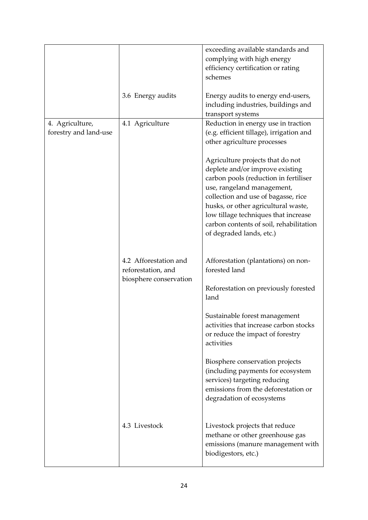|                                          |                                                                       | exceeding available standards and<br>complying with high energy<br>efficiency certification or rating<br>schemes                                                                                                                                                                                                                        |
|------------------------------------------|-----------------------------------------------------------------------|-----------------------------------------------------------------------------------------------------------------------------------------------------------------------------------------------------------------------------------------------------------------------------------------------------------------------------------------|
|                                          | 3.6 Energy audits                                                     | Energy audits to energy end-users,<br>including industries, buildings and<br>transport systems                                                                                                                                                                                                                                          |
| 4. Agriculture,<br>forestry and land-use | 4.1 Agriculture                                                       | Reduction in energy use in traction<br>(e.g. efficient tillage), irrigation and<br>other agriculture processes                                                                                                                                                                                                                          |
|                                          |                                                                       | Agriculture projects that do not<br>deplete and/or improve existing<br>carbon pools (reduction in fertiliser<br>use, rangeland management,<br>collection and use of bagasse, rice<br>husks, or other agricultural waste,<br>low tillage techniques that increase<br>carbon contents of soil, rehabilitation<br>of degraded lands, etc.) |
|                                          | 4.2 Afforestation and<br>reforestation, and<br>biosphere conservation | Afforestation (plantations) on non-<br>forested land                                                                                                                                                                                                                                                                                    |
|                                          |                                                                       | Reforestation on previously forested<br>land                                                                                                                                                                                                                                                                                            |
|                                          |                                                                       | Sustainable forest management<br>activities that increase carbon stocks<br>or reduce the impact of forestry<br>activities                                                                                                                                                                                                               |
|                                          |                                                                       | Biosphere conservation projects<br>(including payments for ecosystem<br>services) targeting reducing<br>emissions from the deforestation or<br>degradation of ecosystems                                                                                                                                                                |
|                                          | 4.3 Livestock                                                         | Livestock projects that reduce<br>methane or other greenhouse gas<br>emissions (manure management with<br>biodigestors, etc.)                                                                                                                                                                                                           |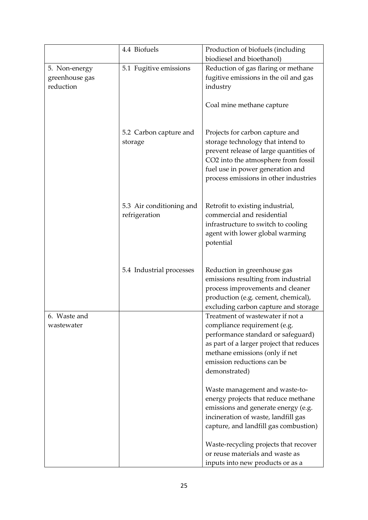|                                              | 4.4 Biofuels                              | Production of biofuels (including                                                                                                                                                                                                  |
|----------------------------------------------|-------------------------------------------|------------------------------------------------------------------------------------------------------------------------------------------------------------------------------------------------------------------------------------|
|                                              |                                           | biodiesel and bioethanol)                                                                                                                                                                                                          |
| 5. Non-energy<br>greenhouse gas<br>reduction | 5.1 Fugitive emissions                    | Reduction of gas flaring or methane<br>fugitive emissions in the oil and gas<br>industry                                                                                                                                           |
|                                              |                                           | Coal mine methane capture                                                                                                                                                                                                          |
|                                              | 5.2 Carbon capture and<br>storage         | Projects for carbon capture and<br>storage technology that intend to<br>prevent release of large quantities of<br>CO2 into the atmosphere from fossil<br>fuel use in power generation and<br>process emissions in other industries |
|                                              | 5.3 Air conditioning and<br>refrigeration | Retrofit to existing industrial,<br>commercial and residential<br>infrastructure to switch to cooling<br>agent with lower global warming<br>potential                                                                              |
|                                              | 5.4 Industrial processes                  | Reduction in greenhouse gas<br>emissions resulting from industrial<br>process improvements and cleaner<br>production (e.g. cement, chemical),<br>excluding carbon capture and storage                                              |
| 6. Waste and                                 |                                           | Treatment of wastewater if not a                                                                                                                                                                                                   |
| wastewater                                   |                                           | compliance requirement (e.g.                                                                                                                                                                                                       |
|                                              |                                           | performance standard or safeguard)<br>as part of a larger project that reduces                                                                                                                                                     |
|                                              |                                           | methane emissions (only if net                                                                                                                                                                                                     |
|                                              |                                           | emission reductions can be                                                                                                                                                                                                         |
|                                              |                                           | demonstrated)                                                                                                                                                                                                                      |
|                                              |                                           | Waste management and waste-to-<br>energy projects that reduce methane<br>emissions and generate energy (e.g.<br>incineration of waste, landfill gas<br>capture, and landfill gas combustion)                                       |
|                                              |                                           | Waste-recycling projects that recover                                                                                                                                                                                              |
|                                              |                                           | or reuse materials and waste as                                                                                                                                                                                                    |
|                                              |                                           | inputs into new products or as a                                                                                                                                                                                                   |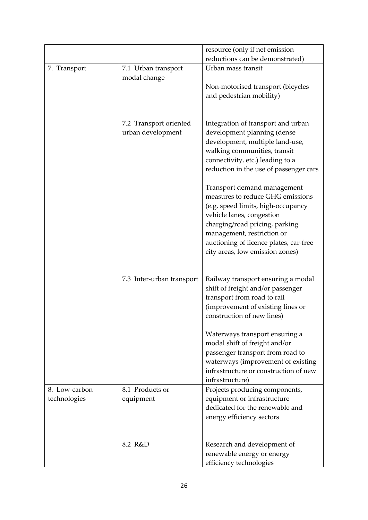|               |                           | resource (only if net emission                                              |
|---------------|---------------------------|-----------------------------------------------------------------------------|
|               |                           | reductions can be demonstrated)                                             |
| 7. Transport  | 7.1 Urban transport       | Urban mass transit                                                          |
|               | modal change              |                                                                             |
|               |                           | Non-motorised transport (bicycles                                           |
|               |                           | and pedestrian mobility)                                                    |
|               |                           |                                                                             |
|               | 7.2 Transport oriented    | Integration of transport and urban                                          |
|               | urban development         | development planning (dense                                                 |
|               |                           | development, multiple land-use,                                             |
|               |                           | walking communities, transit                                                |
|               |                           | connectivity, etc.) leading to a                                            |
|               |                           | reduction in the use of passenger cars                                      |
|               |                           | Transport demand management                                                 |
|               |                           | measures to reduce GHG emissions                                            |
|               |                           | (e.g. speed limits, high-occupancy                                          |
|               |                           | vehicle lanes, congestion                                                   |
|               |                           | charging/road pricing, parking                                              |
|               |                           | management, restriction or                                                  |
|               |                           | auctioning of licence plates, car-free                                      |
|               |                           | city areas, low emission zones)                                             |
|               |                           |                                                                             |
|               | 7.3 Inter-urban transport | Railway transport ensuring a modal                                          |
|               |                           | shift of freight and/or passenger<br>transport from road to rail            |
|               |                           | (improvement of existing lines or                                           |
|               |                           | construction of new lines)                                                  |
|               |                           |                                                                             |
|               |                           | Waterways transport ensuring a                                              |
|               |                           | modal shift of freight and/or                                               |
|               |                           | passenger transport from road to                                            |
|               |                           | waterways (improvement of existing<br>infrastructure or construction of new |
|               |                           | infrastructure)                                                             |
| 8. Low-carbon | 8.1 Products or           | Projects producing components,                                              |
| technologies  | equipment                 | equipment or infrastructure                                                 |
|               |                           | dedicated for the renewable and                                             |
|               |                           | energy efficiency sectors                                                   |
|               |                           |                                                                             |
|               | 8.2 R&D                   | Research and development of                                                 |
|               |                           | renewable energy or energy                                                  |
|               |                           | efficiency technologies                                                     |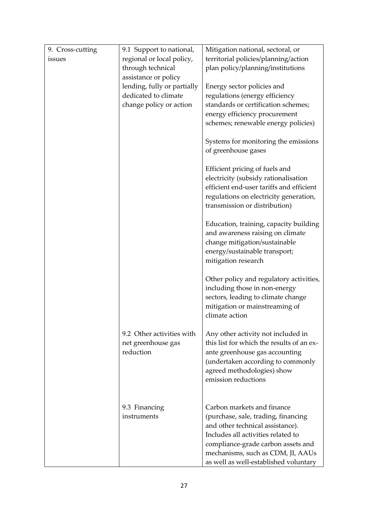| 9. Cross-cutting | 9.1 Support to national,    | Mitigation national, sectoral, or         |
|------------------|-----------------------------|-------------------------------------------|
| issues           | regional or local policy,   | territorial policies/planning/action      |
|                  | through technical           | plan policy/planning/institutions         |
|                  | assistance or policy        |                                           |
|                  | lending, fully or partially | Energy sector policies and                |
|                  | dedicated to climate        | regulations (energy efficiency            |
|                  | change policy or action     | standards or certification schemes;       |
|                  |                             | energy efficiency procurement             |
|                  |                             | schemes; renewable energy policies)       |
|                  |                             | Systems for monitoring the emissions      |
|                  |                             | of greenhouse gases                       |
|                  |                             | Efficient pricing of fuels and            |
|                  |                             | electricity (subsidy rationalisation      |
|                  |                             | efficient end-user tariffs and efficient  |
|                  |                             | regulations on electricity generation,    |
|                  |                             | transmission or distribution)             |
|                  |                             | Education, training, capacity building    |
|                  |                             | and awareness raising on climate          |
|                  |                             | change mitigation/sustainable             |
|                  |                             | energy/sustainable transport;             |
|                  |                             | mitigation research                       |
|                  |                             | Other policy and regulatory activities,   |
|                  |                             | including those in non-energy             |
|                  |                             | sectors, leading to climate change        |
|                  |                             | mitigation or mainstreaming of            |
|                  |                             | climate action                            |
|                  | 9.2 Other activities with   | Any other activity not included in        |
|                  | net greenhouse gas          | this list for which the results of an ex- |
|                  | reduction                   | ante greenhouse gas accounting            |
|                  |                             | (undertaken according to commonly         |
|                  |                             | agreed methodologies) show                |
|                  |                             | emission reductions                       |
|                  |                             |                                           |
|                  | 9.3 Financing               | Carbon markets and finance                |
|                  | instruments                 | (purchase, sale, trading, financing       |
|                  |                             | and other technical assistance).          |
|                  |                             | Includes all activities related to        |
|                  |                             | compliance-grade carbon assets and        |
|                  |                             | mechanisms, such as CDM, JI, AAUs         |
|                  |                             | as well as well-established voluntary     |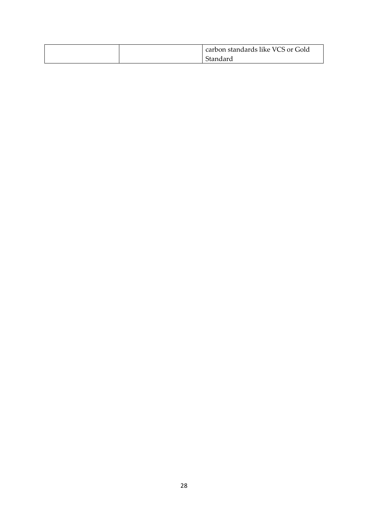|  | carbon standards like VCS or Gold |
|--|-----------------------------------|
|  | Standard                          |